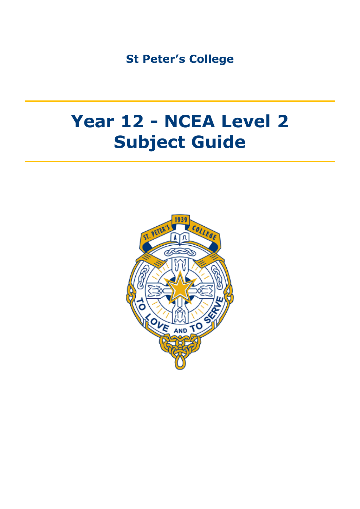**St Peter's College**

## **Year 12 - NCEA Level 2 Subject Guide**

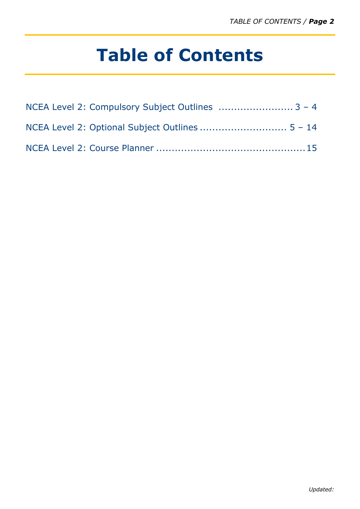# **Table of Contents**

| NCEA Level 2: Compulsory Subject Outlines  3 - 4 |  |
|--------------------------------------------------|--|
|                                                  |  |
|                                                  |  |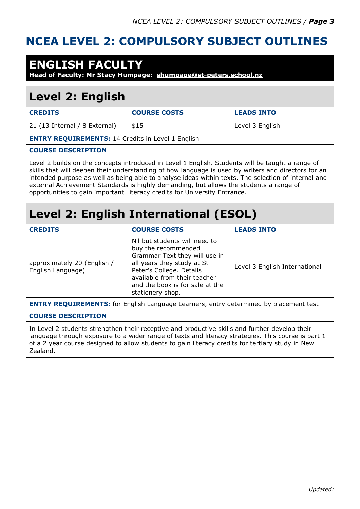#### **NCEA LEVEL 2: COMPULSORY SUBJECT OUTLINES**

### **ENGLISH FACULTY**

**Head of Faculty: Mr Stacy Humpage: [shumpage@st-peters.school.nz](mailto:shumpage@st-peters.school.nz)**

### **Level 2: English**

| <b>CREDITS</b>                                           | <b>COURSE COSTS</b> | <b>LEADS INTO</b> |
|----------------------------------------------------------|---------------------|-------------------|
| 21 (13 Internal / 8 External)                            | \$15                | Level 3 English   |
| <b>ENTRY REQUIREMENTS: 14 Credits in Level 1 English</b> |                     |                   |

#### **COURSE DESCRIPTION**

Level 2 builds on the concepts introduced in Level 1 English. Students will be taught a range of skills that will deepen their understanding of how language is used by writers and directors for an intended purpose as well as being able to analyse ideas within texts. The selection of internal and external Achievement Standards is highly demanding, but allows the students a range of opportunities to gain important Literacy credits for University Entrance.

### **Level 2: English International (ESOL)**

| <b>CREDITS</b>                                                                               | <b>COURSE COSTS</b>                                                                                                                                                                                                                    | <b>LEADS INTO</b>             |
|----------------------------------------------------------------------------------------------|----------------------------------------------------------------------------------------------------------------------------------------------------------------------------------------------------------------------------------------|-------------------------------|
| approximately 20 (English /<br>English Language)                                             | Nil but students will need to<br>buy the recommended<br>Grammar Text they will use in<br>all years they study at St<br>Peter's College. Details<br>available from their teacher<br>and the book is for sale at the<br>stationery shop. | Level 3 English International |
| <b>ENTRY REQUIREMENTS:</b> for English Language Learners, entry determined by placement test |                                                                                                                                                                                                                                        |                               |

#### **COURSE DESCRIPTION**

In Level 2 students strengthen their receptive and productive skills and further develop their language through exposure to a wider range of texts and literacy strategies. This course is part 1 of a 2 year course designed to allow students to gain literacy credits for tertiary study in New Zealand.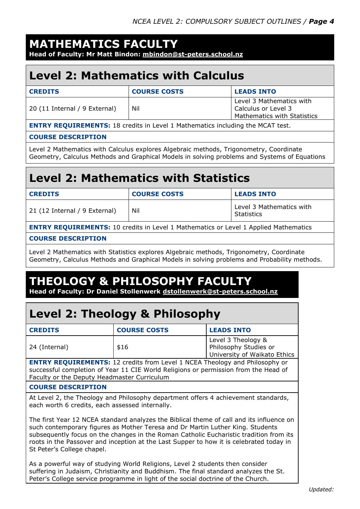### **MATHEMATICS FACULTY**

**Head of Faculty: Mr Matt Bindon: [mbindon@st-peters.school.nz](mailto:mbindon@st-peters.school.nz)**

### **Level 2: Mathematics with Calculus**

| <b>CREDITS</b>                                                                         | <b>COURSE COSTS</b> | <b>LEADS INTO</b>                                                              |
|----------------------------------------------------------------------------------------|---------------------|--------------------------------------------------------------------------------|
| 20 (11 Internal / 9 External)                                                          | Nil                 | Level 3 Mathematics with<br>Calculus or Level 3<br>Mathematics with Statistics |
| <b>FNITOV DEALITOEMENTS. 10</b> and the to Level 1 Methometics including the MCAT test |                     |                                                                                |

**ENTRY REQUIREMENTS:** 18 credits in Level 1 Mathematics including the MCAT test.

#### **COURSE DESCRIPTION**

Level 2 Mathematics with Calculus explores Algebraic methods, Trigonometry, Coordinate Geometry, Calculus Methods and Graphical Models in solving problems and Systems of Equations

### **Level 2: Mathematics with Statistics**

| <b>CREDITS</b>                                                                              | <b>COURSE COSTS</b> | <b>LEADS INTO</b>                             |
|---------------------------------------------------------------------------------------------|---------------------|-----------------------------------------------|
| 21 (12 Internal / 9 External)                                                               | Nil                 | Level 3 Mathematics with<br><b>Statistics</b> |
| <b>ENTRY REQUIREMENTS:</b> 10 credits in Level 1 Mathematics or Level 1 Applied Mathematics |                     |                                               |

#### **COURSE DESCRIPTION**

Level 2 Mathematics with Statistics explores Algebraic methods, Trigonometry, Coordinate Geometry, Calculus Methods and Graphical Models in solving problems and Probability methods.

### **THEOLOGY & PHILOSOPHY FACULTY**

**Head of Faculty: Dr Daniel Stollenwerk [dstollenwerk@st-peters.school.nz](mailto:dstollenwerk@st-peters.school.nz)**

### **Level 2: Theology & Philosophy**

| <b>CREDITS</b>                       | <b>COURSE COSTS</b> | <b>LEADS INTO</b>                                                           |
|--------------------------------------|---------------------|-----------------------------------------------------------------------------|
| 24 (Internal)                        | \$16                | Level 3 Theology &<br>Philosophy Studies or<br>University of Waikato Ethics |
| .<br>. <del>.</del> . <del>.</del> . |                     |                                                                             |

**ENTRY REQUIREMENTS:** 12 credits from Level 1 NCEA Theology and Philosophy or successful completion of Year 11 CIE World Religions or permission from the Head of Faculty or the Deputy Headmaster Curriculum

#### **COURSE DESCRIPTION**

At Level 2, the Theology and Philosophy department offers 4 achievement standards, each worth 6 credits, each assessed internally.

The first Year 12 NCEA standard analyzes the Biblical theme of call and its influence on such contemporary figures as Mother Teresa and Dr Martin Luther King. Students subsequently focus on the changes in the Roman Catholic Eucharistic tradition from its roots in the Passover and inception at the Last Supper to how it is celebrated today in St Peter's College chapel.

As a powerful way of studying World Religions, Level 2 students then consider suffering in Judaism, Christianity and Buddhism. The final standard analyzes the St. Peter's College service programme in light of the social doctrine of the Church.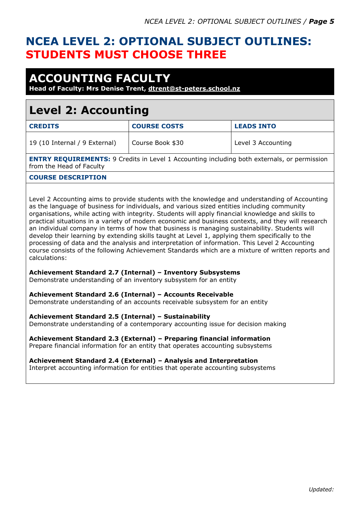### **NCEA LEVEL 2: OPTIONAL SUBJECT OUTLINES: STUDENTS MUST CHOOSE THREE**

### **ACCOUNTING FACULTY**

**Head of Faculty: Mrs Denise Trent, [dtrent@st-peters.school.nz](mailto:dtrent@st-peters.school.nz)**

### **Level 2: Accounting**

| <b>COURSE COSTS</b> | <b>LEADS INTO</b>  |
|---------------------|--------------------|
| Course Book \$30    | Level 3 Accounting |
|                     |                    |

**ENTRY REQUIREMENTS:** 9 Credits in Level 1 Accounting including both externals, or permission from the Head of Faculty

#### **COURSE DESCRIPTION**

Level 2 Accounting aims to provide students with the knowledge and understanding of Accounting as the language of business for individuals, and various sized entities including community organisations, while acting with integrity. Students will apply financial knowledge and skills to practical situations in a variety of modern economic and business contexts, and they will research an individual company in terms of how that business is managing sustainability. Students will develop their learning by extending skills taught at Level 1, applying them specifically to the processing of data and the analysis and interpretation of information. This Level 2 Accounting course consists of the following Achievement Standards which are a mixture of written reports and calculations:

#### **Achievement Standard 2.7 (Internal) – Inventory Subsystems**

Demonstrate understanding of an inventory subsystem for an entity

#### **Achievement Standard 2.6 (Internal) – Accounts Receivable**

Demonstrate understanding of an accounts receivable subsystem for an entity

#### **Achievement Standard 2.5 (Internal) – Sustainability**

Demonstrate understanding of a contemporary accounting issue for decision making

#### **Achievement Standard 2.3 (External) – Preparing financial information**

Prepare financial information for an entity that operates accounting subsystems

#### **Achievement Standard 2.4 (External) – Analysis and Interpretation**

Interpret accounting information for entities that operate accounting subsystems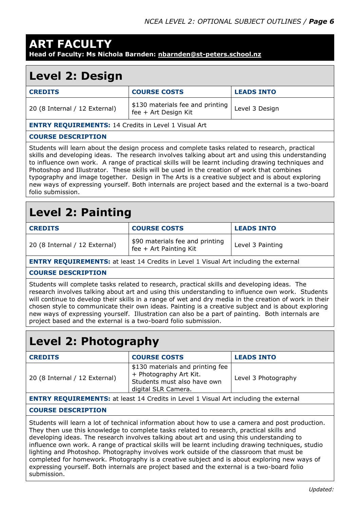## **ART FACULTY**

**Head of Faculty: Ms Nichola Barnden: [nbarnden@st-peters.school.nz](mailto:nbarnden@st-peters.school.nz)**

### **Level 2: Design**

| <b>CREDITS</b>                                                                                                                                                                                                                                                                                                                                                                                                                                                                                                                                                                                                                      | <b>COURSE COSTS</b>                                      | <b>LEADS INTO</b> |
|-------------------------------------------------------------------------------------------------------------------------------------------------------------------------------------------------------------------------------------------------------------------------------------------------------------------------------------------------------------------------------------------------------------------------------------------------------------------------------------------------------------------------------------------------------------------------------------------------------------------------------------|----------------------------------------------------------|-------------------|
| 20 (8 Internal / 12 External)                                                                                                                                                                                                                                                                                                                                                                                                                                                                                                                                                                                                       | \$130 materials fee and printing<br>fee + Art Design Kit | Level 3 Design    |
| <b>ENTRY REQUIREMENTS: 14 Credits in Level 1 Visual Art</b>                                                                                                                                                                                                                                                                                                                                                                                                                                                                                                                                                                         |                                                          |                   |
| <b>COURSE DESCRIPTION</b>                                                                                                                                                                                                                                                                                                                                                                                                                                                                                                                                                                                                           |                                                          |                   |
| Students will learn about the design process and complete tasks related to research, practical<br>skills and developing ideas. The research involves talking about art and using this understanding<br>to influence own work. A range of practical skills will be learnt including drawing techniques and<br>Photoshop and Illustrator. These skills will be used in the creation of work that combines<br>typography and image together. Design in The Arts is a creative subject and is about exploring<br>new ways of expressing yourself. Both internals are project based and the external is a two-board<br>folio submission. |                                                          |                   |

### **Level 2: Painting**

| <b>CREDITS</b>                | <b>COURSE COSTS</b>                                         | <b>LEADS INTO</b> |
|-------------------------------|-------------------------------------------------------------|-------------------|
| 20 (8 Internal / 12 External) | \$90 materials fee and printing<br>$fee + Art$ Painting Kit | Level 3 Painting  |

**ENTRY REQUIREMENTS:** at least 14 Credits in Level 1 Visual Art including the external

#### **COURSE DESCRIPTION**

Students will complete tasks related to research, practical skills and developing ideas. The research involves talking about art and using this understanding to influence own work. Students will continue to develop their skills in a range of wet and dry media in the creation of work in their chosen style to communicate their own ideas. Painting is a creative subject and is about exploring new ways of expressing yourself. Illustration can also be a part of painting. Both internals are project based and the external is a two-board folio submission.

### **Level 2: Photography**

| <b>CREDITS</b>                                                  | <b>COURSE COSTS</b>                                                                                              | <b>LEADS INTO</b>   |
|-----------------------------------------------------------------|------------------------------------------------------------------------------------------------------------------|---------------------|
| 20 (8 Internal / 12 External)                                   | \$130 materials and printing fee<br>+ Photography Art Kit.<br>Students must also have own<br>digital SLR Camera. | Level 3 Photography |
| FUERM REALISREMENTS II IN A CITY II IN MILLER II II II II II II |                                                                                                                  |                     |

**ENTRY REQUIREMENTS:** at least 14 Credits in Level 1 Visual Art including the external

#### **COURSE DESCRIPTION**

Students will learn a lot of technical information about how to use a camera and post production. They then use this knowledge to complete tasks related to research, practical skills and developing ideas. The research involves talking about art and using this understanding to influence own work. A range of practical skills will be learnt including drawing techniques, studio lighting and Photoshop. Photography involves work outside of the classroom that must be completed for homework. Photography is a creative subject and is about exploring new ways of expressing yourself. Both internals are project based and the external is a two-board folio submission.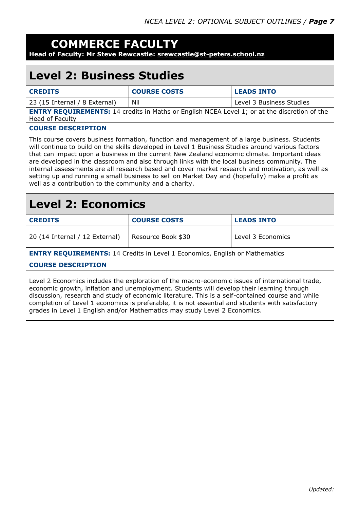### **COMMERCE FACULTY**

**Head of Faculty: Mr Steve Rewcastle: [srewcastle@st-peters.school.nz](mailto:srewcastle@st-peters.school.nz)**

### **Level 2: Business Studies**

| <b>CREDITS</b>                                                                                                         | <b>COURSE COSTS</b> | <b>LEADS INTO</b>        |
|------------------------------------------------------------------------------------------------------------------------|---------------------|--------------------------|
| 23 (15 Internal / 8 External)                                                                                          | Nil                 | Level 3 Business Studies |
| <b>ENTRY REQUIREMENTS:</b> 14 credits in Maths or English NCEA Level 1; or at the discretion of the<br>Head of Faculty |                     |                          |
| <b>COURSE DESCRIPTION</b>                                                                                              |                     |                          |
| This course covers business formation, function and management of a large business. Students                           |                     |                          |

will continue to build on the skills developed in Level 1 Business Studies around various factors that can impact upon a business in the current New Zealand economic climate. Important ideas are developed in the classroom and also through links with the local business community. The internal assessments are all research based and cover market research and motivation, as well as setting up and running a small business to sell on Market Day and (hopefully) make a profit as well as a contribution to the community and a charity.

### **Level 2: Economics**

| <b>CREDITS</b>                                                                                                                                                                               | <b>COURSE COSTS</b> | <b>LEADS INTO</b> |
|----------------------------------------------------------------------------------------------------------------------------------------------------------------------------------------------|---------------------|-------------------|
| 20 (14 Internal / 12 External)                                                                                                                                                               | Resource Book \$30  | Level 3 Economics |
| <b>ENTRY REQUIREMENTS: 14 Credits in Level 1 Economics, English or Mathematics</b>                                                                                                           |                     |                   |
| <b>COURSE DESCRIPTION</b>                                                                                                                                                                    |                     |                   |
| Level 2 Economics includes the exploration of the macro-economic issues of international trade,<br>economic growth, inflation and unemployment. Students will develop their learning through |                     |                   |

discussion, research and study of economic literature. This is a self-contained course and while completion of Level 1 economics is preferable, it is not essential and students with satisfactory grades in Level 1 English and/or Mathematics may study Level 2 Economics.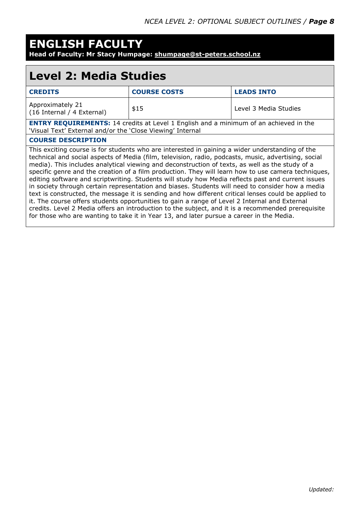### **ENGLISH FACULTY**

**Head of Faculty: Mr Stacy Humpage: [shumpage@st-peters.school.nz](mailto:shumpage@st-peters.school.nz)**

### **Level 2: Media Studies**

| <b>CREDITS</b>                                                                               | <b>COURSE COSTS</b> | <b>LEADS INTO</b>     |
|----------------------------------------------------------------------------------------------|---------------------|-----------------------|
| Approximately 21<br>(16 Internal / 4 External)                                               | \$15                | Level 3 Media Studies |
| <b>ENTRY REQUIREMENTS:</b> 14 credits at Level 1 English and a minimum of an achieved in the |                     |                       |

'Visual Text' External and/or the 'Close Viewing' Internal

#### **COURSE DESCRIPTION**

This exciting course is for students who are interested in gaining a wider understanding of the technical and social aspects of Media (film, television, radio, podcasts, music, advertising, social media). This includes analytical viewing and deconstruction of texts, as well as the study of a specific genre and the creation of a film production. They will learn how to use camera techniques, editing software and scriptwriting. Students will study how Media reflects past and current issues in society through certain representation and biases. Students will need to consider how a media text is constructed, the message it is sending and how different critical lenses could be applied to it. The course offers students opportunities to gain a range of Level 2 Internal and External credits. Level 2 Media offers an introduction to the subject, and it is a recommended prerequisite for those who are wanting to take it in Year 13, and later pursue a career in the Media.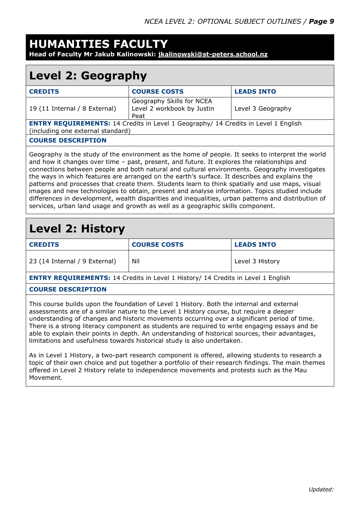### **HUMANITIES FACULTY**

**Head of Faculty Mr Jakub Kalinowski: [jkalinowski@st-peters.school.nz](mailto:jkalinowski@st-peters.school.nz)**

### **Level 2: Geography**

| <b>CREDITS</b>                                                                                                                 | <b>COURSE COSTS</b>                                             | <b>LEADS INTO</b> |
|--------------------------------------------------------------------------------------------------------------------------------|-----------------------------------------------------------------|-------------------|
| 19 (11 Internal / 8 External)                                                                                                  | Geography Skills for NCEA<br>Level 2 workbook by Justin<br>Peat | Level 3 Geography |
| <b>ENTRY REQUIREMENTS:</b> 14 Credits in Level 1 Geography/ 14 Credits in Level 1 English<br>(including one external standard) |                                                                 |                   |
| <b>COURSE DESCRIPTION</b>                                                                                                      |                                                                 |                   |
|                                                                                                                                |                                                                 |                   |

Geography is the study of the environment as the home of people. It seeks to interpret the world and how it changes over time – past, present, and future. It explores the relationships and connections between people and both natural and cultural environments. Geography investigates the ways in which features are arranged on the earth's surface. It describes and explains the patterns and processes that create them. Students learn to think spatially and use maps, visual images and new technologies to obtain, present and analyse information. Topics studied include differences in development, wealth disparities and inequalities, urban patterns and distribution of services, urban land usage and growth as well as a geographic skills component.

#### **Level 2: History**

| <b>CREDITS</b>                | <b>COURSE COSTS</b> | <b>LEADS INTO</b> |
|-------------------------------|---------------------|-------------------|
| 23 (14 Internal / 9 External) | Nil                 | Level 3 History   |

**ENTRY REQUIREMENTS:** 14 Credits in Level 1 History/ 14 Credits in Level 1 English

#### **COURSE DESCRIPTION**

This course builds upon the foundation of Level 1 History. Both the internal and external assessments are of a similar nature to the Level 1 History course, but require a deeper understanding of changes and historic movements occurring over a significant period of time. There is a strong literacy component as students are required to write engaging essays and be able to explain their points in depth. An understanding of historical sources, their advantages, limitations and usefulness towards historical study is also undertaken.

As in Level 1 History, a two-part research component is offered, allowing students to research a topic of their own choice and put together a portfolio of their research findings. The main themes offered in Level 2 History relate to independence movements and protests such as the Mau Movement.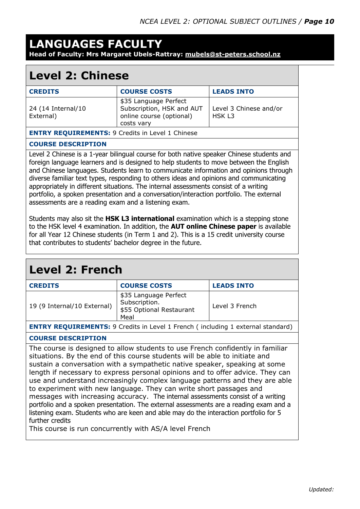#### **LANGUAGES FACULTY Head of Faculty: Mrs Margaret Ubels-Rattray: [mubels@st-peters.school.nz](mailto:mubels@st-peters.school.nz)**

#### **Level 2: Chinese**

| <b>CREDITS</b>                                          | <b>COURSE COSTS</b>                                                                          | <b>LEADS INTO</b>                |
|---------------------------------------------------------|----------------------------------------------------------------------------------------------|----------------------------------|
| 24 (14 Internal/10<br>External)                         | \$35 Language Perfect<br>Subscription, HSK and AUT<br>online course (optional)<br>costs vary | Level 3 Chinese and/or<br>HSK L3 |
| <b>ENTRY REQUIREMENTS: 9 Credits in Level 1 Chinese</b> |                                                                                              |                                  |

#### **COURSE DESCRIPTION**

Level 2 Chinese is a 1-year bilingual course for both native speaker Chinese students and foreign language learners and is designed to help students to move between the English and Chinese languages. Students learn to communicate information and opinions through diverse familiar text types, responding to others ideas and opinions and communicating appropriately in different situations. The internal assessments consist of a writing portfolio, a spoken presentation and a conversation/interaction portfolio. The external assessments are a reading exam and a listening exam.

Students may also sit the **HSK L3 international** examination which is a stepping stone to the HSK level 4 examination. In addition, the **AUT online Chinese paper** is available for all Year 12 Chinese students (in Term 1 and 2). This is a 15 credit university course that contributes to students' bachelor degree in the future.

| <b>Level 2: French</b>                                                                                                                                                                                                                                                                                                                                                                                                                                                                                                                                                                                                                                                                                                                                                       |                                                                                        |                   |
|------------------------------------------------------------------------------------------------------------------------------------------------------------------------------------------------------------------------------------------------------------------------------------------------------------------------------------------------------------------------------------------------------------------------------------------------------------------------------------------------------------------------------------------------------------------------------------------------------------------------------------------------------------------------------------------------------------------------------------------------------------------------------|----------------------------------------------------------------------------------------|-------------------|
| <b>CREDITS</b>                                                                                                                                                                                                                                                                                                                                                                                                                                                                                                                                                                                                                                                                                                                                                               | <b>COURSE COSTS</b>                                                                    | <b>LEADS INTO</b> |
| 19 (9 Internal/10 External)                                                                                                                                                                                                                                                                                                                                                                                                                                                                                                                                                                                                                                                                                                                                                  | \$35 Language Perfect<br>Subscription.<br>\$55 Optional Restaurant<br>Meal             | Level 3 French    |
|                                                                                                                                                                                                                                                                                                                                                                                                                                                                                                                                                                                                                                                                                                                                                                              | <b>ENTRY REQUIREMENTS:</b> 9 Credits in Level 1 French (including 1 external standard) |                   |
| <b>COURSE DESCRIPTION</b>                                                                                                                                                                                                                                                                                                                                                                                                                                                                                                                                                                                                                                                                                                                                                    |                                                                                        |                   |
| The course is designed to allow students to use French confidently in familiar<br>situations. By the end of this course students will be able to initiate and<br>sustain a conversation with a sympathetic native speaker, speaking at some<br>length if necessary to express personal opinions and to offer advice. They can<br>use and understand increasingly complex language patterns and they are able<br>to experiment with new language. They can write short passages and<br>messages with increasing accuracy. The internal assessments consist of a writing<br>portfolio and a spoken presentation. The external assessments are a reading exam and a<br>listening exam. Students who are keen and able may do the interaction portfolio for 5<br>further credits |                                                                                        |                   |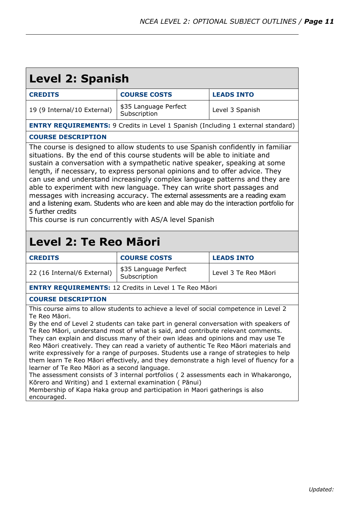| <b>Level 2: Spanish</b>                                                                                                                                                                                                                                                                                                                                                                                                                                                                                                                                                                                                                                                                                                                                                                                                                                                                                                                               |                                                                                         |                      |  |
|-------------------------------------------------------------------------------------------------------------------------------------------------------------------------------------------------------------------------------------------------------------------------------------------------------------------------------------------------------------------------------------------------------------------------------------------------------------------------------------------------------------------------------------------------------------------------------------------------------------------------------------------------------------------------------------------------------------------------------------------------------------------------------------------------------------------------------------------------------------------------------------------------------------------------------------------------------|-----------------------------------------------------------------------------------------|----------------------|--|
| <b>CREDITS</b>                                                                                                                                                                                                                                                                                                                                                                                                                                                                                                                                                                                                                                                                                                                                                                                                                                                                                                                                        | <b>COURSE COSTS</b>                                                                     | <b>LEADS INTO</b>    |  |
| 19 (9 Internal/10 External)                                                                                                                                                                                                                                                                                                                                                                                                                                                                                                                                                                                                                                                                                                                                                                                                                                                                                                                           | \$35 Language Perfect<br>Subscription                                                   | Level 3 Spanish      |  |
|                                                                                                                                                                                                                                                                                                                                                                                                                                                                                                                                                                                                                                                                                                                                                                                                                                                                                                                                                       | <b>ENTRY REQUIREMENTS:</b> 9 Credits in Level 1 Spanish (Including 1 external standard) |                      |  |
| <b>COURSE DESCRIPTION</b>                                                                                                                                                                                                                                                                                                                                                                                                                                                                                                                                                                                                                                                                                                                                                                                                                                                                                                                             |                                                                                         |                      |  |
| The course is designed to allow students to use Spanish confidently in familiar<br>situations. By the end of this course students will be able to initiate and<br>sustain a conversation with a sympathetic native speaker, speaking at some<br>length, if necessary, to express personal opinions and to offer advice. They<br>can use and understand increasingly complex language patterns and they are<br>able to experiment with new language. They can write short passages and<br>messages with increasing accuracy. The external assessments are a reading exam<br>and a listening exam. Students who are keen and able may do the interaction portfolio for<br>5 further credits<br>This course is run concurrently with AS/A level Spanish                                                                                                                                                                                                  |                                                                                         |                      |  |
| Level 2: Te Reo Māori<br><b>CREDITS</b>                                                                                                                                                                                                                                                                                                                                                                                                                                                                                                                                                                                                                                                                                                                                                                                                                                                                                                               | <b>COURSE COSTS</b>                                                                     | <b>LEADS INTO</b>    |  |
| 22 (16 Internal/6 External)                                                                                                                                                                                                                                                                                                                                                                                                                                                                                                                                                                                                                                                                                                                                                                                                                                                                                                                           | \$35 Language Perfect<br>Subscription                                                   | Level 3 Te Reo Māori |  |
|                                                                                                                                                                                                                                                                                                                                                                                                                                                                                                                                                                                                                                                                                                                                                                                                                                                                                                                                                       | <b>ENTRY REQUIREMENTS: 12 Credits in Level 1 Te Reo Māori</b>                           |                      |  |
| <b>COURSE DESCRIPTION</b>                                                                                                                                                                                                                                                                                                                                                                                                                                                                                                                                                                                                                                                                                                                                                                                                                                                                                                                             |                                                                                         |                      |  |
| This course aims to allow students to achieve a level of social competence in Level 2<br>Te Reo Māori.<br>By the end of Level 2 students can take part in general conversation with speakers of<br>Te Reo Māori, understand most of what is said, and contribute relevant comments.<br>They can explain and discuss many of their own ideas and opinions and may use Te<br>Reo Māori creatively. They can read a variety of authentic Te Reo Māori materials and<br>write expressively for a range of purposes. Students use a range of strategies to help<br>them learn Te Reo Māori effectively, and they demonstrate a high level of fluency for a<br>learner of Te Reo Māori as a second language.<br>The assessment consists of 3 internal portfolios (2 assessments each in Whakarongo,<br>Kōrero and Writing) and 1 external examination (Pānui)<br>Membership of Kapa Haka group and participation in Maori gatherings is also<br>encouraged. |                                                                                         |                      |  |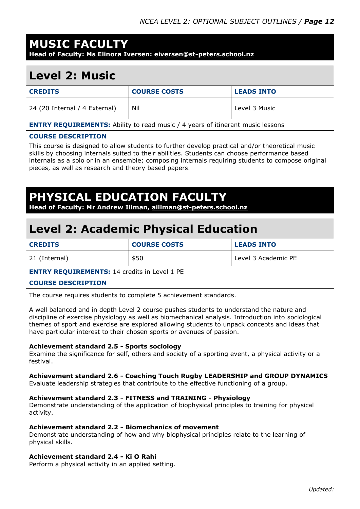### **MUSIC FACULTY**

**Head of Faculty: Ms Elinora Iversen: [eiversen@st-peters.school.nz](mailto:eiversen@st-peters.school.nz)** 

#### **Level 2: Music**

| <b>CREDITS</b>                                                                        | <b>COURSE COSTS</b> | <b>LEADS INTO</b> |
|---------------------------------------------------------------------------------------|---------------------|-------------------|
| 24 (20 Internal / 4 External)                                                         | Nil                 | Level 3 Music     |
| <b>ENTRY REQUIREMENTS:</b> Ability to read music / 4 years of itinerant music lessons |                     |                   |
|                                                                                       |                     |                   |

#### **COURSE DESCRIPTION**

This course is designed to allow students to further develop practical and/or theoretical music skills by choosing internals suited to their abilities. Students can choose performance based internals as a solo or in an ensemble; composing internals requiring students to compose original pieces, as well as research and theory based papers.

#### **PHYSICAL EDUCATION FACULT**

**Head of Faculty: Mr Andrew Illman, [aillman@st-peters.school.nz](mailto:aillman@st-peters.school.nz)**

### **Level 2: Academic Physical Education**

| <b>CREDITS</b> | <b>COURSE COSTS</b> | <b>LEADS INTO</b>   |
|----------------|---------------------|---------------------|
| 21 (Internal)  | \$50                | Level 3 Academic PE |

#### **ENTRY REQUIREMENTS:** 14 credits in Level 1 PE

#### **COURSE DESCRIPTION**

The course requires students to complete 5 achievement standards.

A well balanced and in depth Level 2 course pushes students to understand the nature and discipline of exercise physiology as well as biomechanical analysis. Introduction into sociological themes of sport and exercise are explored allowing students to unpack concepts and ideas that have particular interest to their chosen sports or avenues of passion.

#### **Achievement standard 2.5 - Sports sociology**

Examine the significance for self, others and society of a sporting event, a physical activity or a festival.

#### **Achievement standard 2.6 - Coaching Touch Rugby LEADERSHIP and GROUP DYNAMICS**

Evaluate leadership strategies that contribute to the effective functioning of a group.

#### **Achievement standard 2.3 - FITNESS and TRAINING - Physiology**

Demonstrate understanding of the application of biophysical principles to training for physical activity.

#### **Achievement standard 2.2 - Biomechanics of movement**

Demonstrate understanding of how and why biophysical principles relate to the learning of physical skills.

#### **Achievement standard 2.4 - Ki O Rahi**

Perform a physical activity in an applied setting.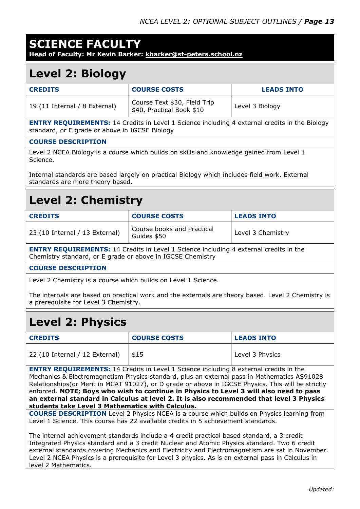#### **SCIENCE FACULTY**

**Head of Faculty: Mr Kevin Barker: [kbarker@st-peters.school.nz](mailto:kbarker@st-peters.school.nz)**

#### **Level 2: Biology**

| <b>CREDITS</b>                | <b>COURSE COSTS</b>                                       | <b>LEADS INTO</b> |
|-------------------------------|-----------------------------------------------------------|-------------------|
| 19 (11 Internal / 8 External) | Course Text \$30, Field Trip<br>\$40, Practical Book \$10 | Level 3 Biology   |

**ENTRY REQUIREMENTS:** 14 Credits in Level 1 Science including 4 external credits in the Biology standard, or E grade or above in IGCSE Biology

#### **COURSE DESCRIPTION**

Level 2 NCEA Biology is a course which builds on skills and knowledge gained from Level 1 Science.

Internal standards are based largely on practical Biology which includes field work. External standards are more theory based.

### **Level 2: Chemistry**

| <b>CREDITS</b>                 | <b>COURSE COSTS</b>                       | <b>LEADS INTO</b> |
|--------------------------------|-------------------------------------------|-------------------|
| 23 (10 Internal / 13 External) | Course books and Practical<br>Guides \$50 | Level 3 Chemistry |

**ENTRY REQUIREMENTS:** 14 Credits in Level 1 Science including 4 external credits in the Chemistry standard, or E grade or above in IGCSE Chemistry

#### **COURSE DESCRIPTION**

Level 2 Chemistry is a course which builds on Level 1 Science.

The internals are based on practical work and the externals are theory based. Level 2 Chemistry is a prerequisite for Level 3 Chemistry.

### **Level 2: Physics**

| <b>CREDITS</b>                 | <b>COURSE COSTS</b> | <b>LEADS INTO</b> |
|--------------------------------|---------------------|-------------------|
| 22 (10 Internal / 12 External) | \$15                | Level 3 Physics   |

**ENTRY REQUIREMENTS:** 14 Credits in Level 1 Science including 8 external credits in the Mechanics & Electromagnetism Physics standard, plus an external pass in Mathematics AS91028 Relationships(or Merit in MCAT 91027), or D grade or above in IGCSE Physics. This will be strictly enforced. **NOTE; Boys who wish to continue in Physics to Level 3 will also need to pass an external standard in Calculus at level 2. It is also recommended that level 3 Physics students take Level 3 Mathematics with Calculus.**

**COURSE DESCRIPTION** Level 2 Physics NCEA is a course which builds on Physics learning from Level 1 Science. This course has 22 available credits in 5 achievement standards.

The internal achievement standards include a 4 credit practical based standard, a 3 credit Integrated Physics standard and a 3 credit Nuclear and Atomic Physics standard. Two 6 credit external standards covering Mechanics and Electricity and Electromagnetism are sat in November. Level 2 NCEA Physics is a prerequisite for Level 3 physics. As is an external pass in Calculus in level 2 Mathematics.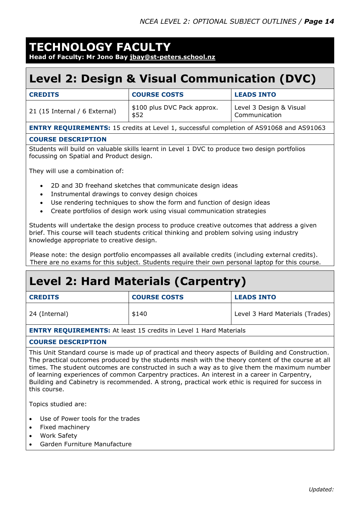### **TECHNOLOGY FACULTY**

**Head of Faculty: Mr Jono Bay [jbay@st-peters.school.nz](mailto:jbay@st-peters.school.nz)**

### **Level 2: Design & Visual Communication (DVC)**

| <b>CREDITS</b>                | <b>COURSE COSTS</b>                 | <b>LEADS INTO</b>                        |
|-------------------------------|-------------------------------------|------------------------------------------|
| 21 (15 Internal / 6 External) | \$100 plus DVC Pack approx.<br>\$52 | Level 3 Design & Visual<br>Communication |

**ENTRY REQUIREMENTS:** 15 credits at Level 1, successful completion of AS91068 and AS91063

#### **COURSE DESCRIPTION**

Students will build on valuable skills learnt in Level 1 DVC to produce two design portfolios focussing on Spatial and Product design.

They will use a combination of:

- 2D and 3D freehand sketches that communicate design ideas
- Instrumental drawings to convey design choices
- Use rendering techniques to show the form and function of design ideas
- Create portfolios of design work using visual communication strategies

Students will undertake the design process to produce creative outcomes that address a given brief. This course will teach students critical thinking and problem solving using industry knowledge appropriate to creative design.

Please note: the design portfolio encompasses all available credits (including external credits). There are no exams for this subject. Students require their own personal laptop for this course.

### **Level 2: Hard Materials (Carpentry)**

| <b>CREDITS</b> | <b>COURSE COSTS</b> | <b>LEADS INTO</b>               |  |
|----------------|---------------------|---------------------------------|--|
| 24 (Internal)  | \$140               | Level 3 Hard Materials (Trades) |  |
| .              |                     |                                 |  |

**ENTRY REQUIREMENTS:** At least 15 credits in Level 1 Hard Materials

#### **COURSE DESCRIPTION**

This Unit Standard course is made up of practical and theory aspects of Building and Construction. The practical outcomes produced by the students mesh with the theory content of the course at all times. The student outcomes are constructed in such a way as to give them the maximum number of learning experiences of common Carpentry practices. An interest in a career in Carpentry, Building and Cabinetry is recommended. A strong, practical work ethic is required for success in this course.

Topics studied are:

- Use of Power tools for the trades
- Fixed machinery
- Work Safety
- Garden Furniture Manufacture